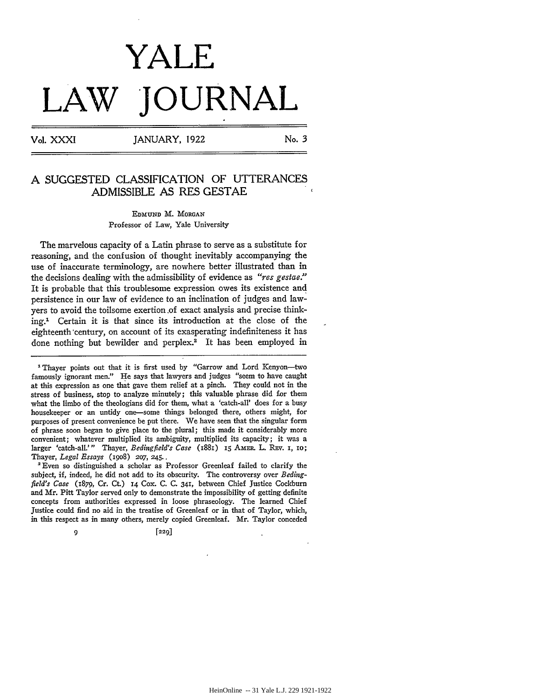## YALE LAW **JOURNAL**

Vol. XXXI JANUARY, 1922 No. 3

## **A SUGGESTED CLASSIFICATION** OF **UTTERANCES** ADMISSIBLE **AS** RES **GESTAE**

**EDMUND** M. **MORGAN** Professor of Law, Yale University

The marvelous capacity of a Latin phrase to serve as a substitute for reasoning, and the confusion of thought inevitably accompanying the use of inaccurate terminology, are nowhere better illustrated than in the decisions dealing with the admissibility of evidence as "res gestae." It is probable that this troublesome expression owes its existence and persistence in our law of evidence to an inclination of judges and lawyers to avoid the toilsome exertion *.of* exact analysis and precise thinking.' Certain it is that since its introduction at the close of the eighteenth 'century, on account of its exasperating indefiniteness it has done nothing but bewilder and perplex.<sup>2</sup> It has been employed in

'Thayer points out that it is first used by "Garrow and Lord Kenyon-two famously ignorant men." He says that lawyers and judges "seem to have caught at this expression as one that gave them relief at a pinch. They could not in the stress of business, stop to analyze minutely; this valuable phrase did for them what the limbo of the theologians did for them, what a 'catch-all' does for a busy housekeeper or an untidy one-some things belonged there, others might, for purposes of present convenience be put there. We have seen that the singular form of phrase soon began to give place to the plural; this made it considerably more convenient; whatever multiplied its ambiguity, multiplied its capacity; it was a larger 'catch-all.'" Thayer, *Bedingfield's Case* (1881) **15 AMER. L. REV. 1, 10;** Thayer, *Legal Essays* (igo8) **207,** 245..

'Even so distinguished a scholar as Professor Greenleaf failed to clarify the subject, if, indeed, he did not add to its obscurity. The controversy over *Bedingfield's Case* (1879, Cr. Ct) **i4** Cox. C. C. 341, between Chief Justice Cockburn and Mr. Pitt Taylor served only to demonstrate the impossibility of getting definite concepts from authorities expressed in loose phraseology. The learned Chief Justice could find no aid in the treatise of Greenleaf or in that of Taylor, which, in this respect as in many others, merely copied Greenleaf. Mr. Taylor conceded

**9 [229]**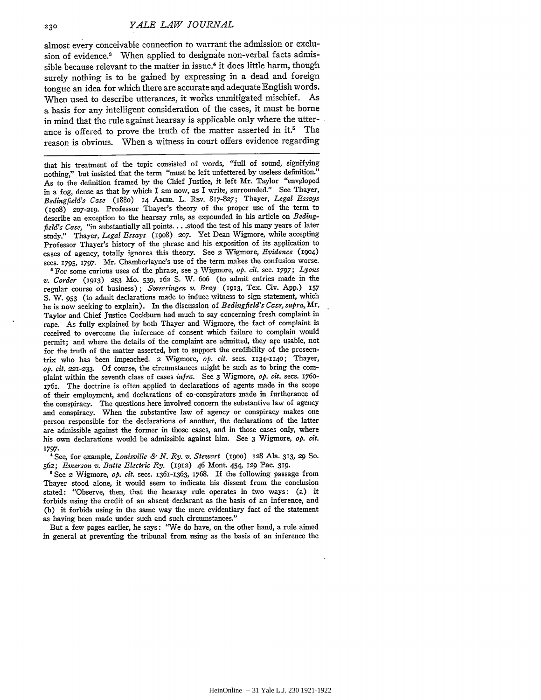almost every conceivable connection to warrant the admission or exclusion of evidence.3 When applied to designate non-verbal facts admissible because relevant to the matter in issue.<sup>4</sup> it does little harm, though surely nothing is to be gained **by** expressing in a dead and foreign tongue an idea for which there are accurate and adequate English words. When used to describe utterances, it works unmitigated mischief. As a basis for any intelligent consideration of the cases, it must be borne in mind that the rule against hearsay is applicable only where the utterance is offered to prove the truth of the matter asserted in it.<sup>5</sup> The reason is obvious. When a witness in court offers evidence regarding

that his treatment of the topic consisted of words, "full of sound, signifying nothing," but insisted that the term "must be left unfettered **by** useless definition." As to the definition framed **by** the Chief Justice, it left Mr. Taylor "envploped in a fog, dense as that by which I am now, as I write, surrounded." See Thayer, *Bedingfield's Case* (188o) **14 AMEP.** L. REv. 817-827; Thayer, *Legal Essays* (i9o8) *2o7-219.* Professor Thayer's theory of the proper use of the term to describe an exception to the hearsay rule, as expounded in his article on *Bedingfield's Case,* "in substantially all points **....** stood the test of his many years of later study." Thayer, *Legal Essays* **(1908) 207.** Yet Dean Wigmore, while accepting Professor Thayer's history of the phrase and his exposition of its application to cases of agency, totally ignores this theory. See 2 Wigmore, *Evidence* **(1904)** secs. **1795, 1797.** Mr. Chamberlayne's use of the term makes the confusion worse. **"** For some curious uses of the phrase, see 3 Wigmore, *op. cit.* sec. 1797; *Lyons*

*v. Corder* (1913) **253** Mo. 539, 162 **S.** W. 6o6 (to admit entries made in the regular course of business); *Swearingen v. Bray* (1913, Tex. Civ. App.) **<sup>157</sup> S.** W. 953 (to admit declarations made to induce witness to sign statement, which he is now seeking to explain). In the discussion of *Bedingfield's Case, supra, Mr.* Taylor and Chief Justice Cockburn had much to say concerning fresh complaint in rape. As fully explained **by** both Thayer and Wigmore, the fact of complaint is received to overcome the inference of consent which failure to complain would permit; and where the details of the complaint are admitted, they are usable, not for the truth of the matter asserted, but to support the credibility of the prosecutrix who has been impeached. 2 Wigmore, *op. cit.* secs. 1134-1140; Thayer, *Op. cit.* 221-233. Of course, the circumstances might be such as to bring the complaint within the seventh class of cases *infra.* See 3 Wigmore, *op. cit.* secs. 176o-1761. The doctrine is often applied to declarations of agents made in the scope of their employment, and declarations of co-conspirators made in furtherance of the conspiracy. The questions here involved concern the substantive law of agency and conspiracy. When the substantive law of agency or conspiracy makes one person responsible for the declarations of another, the declarations of the latter are admissible against the former in those cases, and in those cases only, where his own declarations would be admissible against him. See 3 Wigmore, *op. dt.* **1797.**

'See, for example, *Louisville & N. Ry. v. Stewart* (i9oo) 128 Ala. 313, 29 So. *562; Emerson v. Butte Electric Ry.* (1912) 46 Mont 454, 129 Pac. 319.

<sup>5</sup> See 2 Wigmore, *op. cit.* secs. 1361-1363, 1768. If the following passage from Thayer stood alone, it would seem to indicate his dissent from the conclusion stated: "Observe, then, that the hearsay rule operates in two ways: (a) it forbids using the credit of an absent declarant as the basis of an inference, and (b) it forbids using in the same way the mere evidentiary fact of the statement as having been made under such and such circumstances."

But a few pages earlier, he says: "We do have, on the other hand, a rule aimed in general at preventing the tribunal from using as the basis of an inference the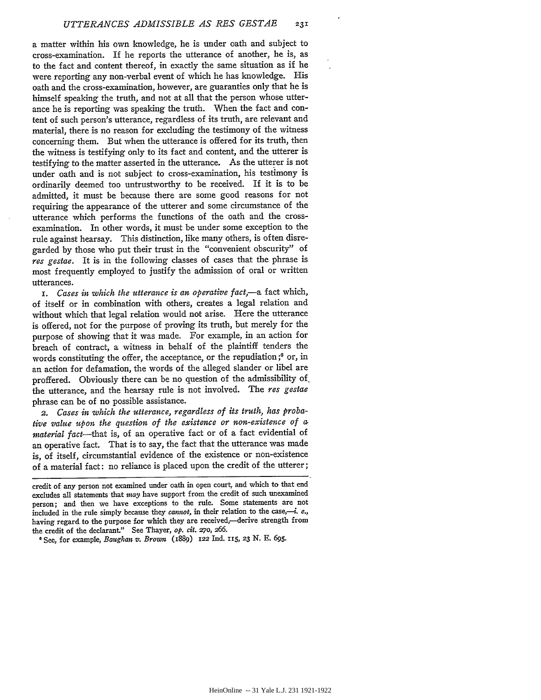a matter within his own knowledge, he is under oath and subject to cross-examination. If he reports the utterance of another, he is, as to the fact and content thereof, in exactly the same situation as if he were reporting any non-verbal event of which he has knowledge. His oath and the cross-examination, however, are guaranties only that he is himself speaking the truth, and not at all that the person whose utterance he is reporting was speaking the truth. When the fact and content of such person's utterance, regardless of its truth, are relevant and material, there is no reason for excluding the testimony of the witness concerning them. But when the utterance is offered for its truth, then the witness is testifying only to its fact and content, and the utterer is testifying to the matter asserted in the utterance. As the utterer is not under oath and is not subject to cross-examination, his testimony is ordinarily deemed too untrustworthy to be received. If it is to be admitted, it must be because there are some good reasons for not requiring the appearance of the utterer and some circumstance of the utterance which performs the functions of the oath and the crossexamination. In other words, it must be under some exception to the rule against hearsay. This distinction, like many others, is often disregarded by those who put their trust in the "convenient obscurity" of res gestae. It is in the following classes of cases that the phrase is most frequently employed to justify the admission of oral or written utterances.

*I. Cases in which the utterance is an operative fact,--a* fact which, of itself or in combination with others, creates a legal relation and without which that legal relation would not arise. Here the utterance is offered, not for the purpose of proving its truth, but merely for the purpose of showing that it was made. For example, in an action for breach of contract, a witness in behalf of the plaintiff tenders the words constituting the offer, the acceptance, or the repudiation **;6** or, in an action for defamation, the words of the alleged slander or libel are proffered. Obviously there can be no question of the admissibility of the utterance, and the hearsay rule is not involved. The *res gestae* phrase can be of no possible assistance.

**2.** *Cases in which the utterance, regardless of its truth, has probative value upon the question of the existence or non-existence of* a, *material fact-that* is, of an operative fact or of a fact evidential of an operative fact. That is to say, the fact that the utterance was made is, of itself, circumstantial evidence of the existence or non-existence of a material fact: no reliance is placed upon the credit of the utterer;

'See, for example, *Baughan v. Brown;* (i889) **122** Ind. **115, 23** *N.* **E. 695.**

credit of any person not examined under oath in open court, and which to that end excludes all statements that *may* have support from the credit of such unexamined person; and then we have exceptions to the rule. Some statements are not included in the rule simply because they *cannot*, in their relation to the case,-i. e., having regard to the purpose for which they are received,--derive strength from the credit of the declarant." See Thayer, *op. cit.* 270, 266.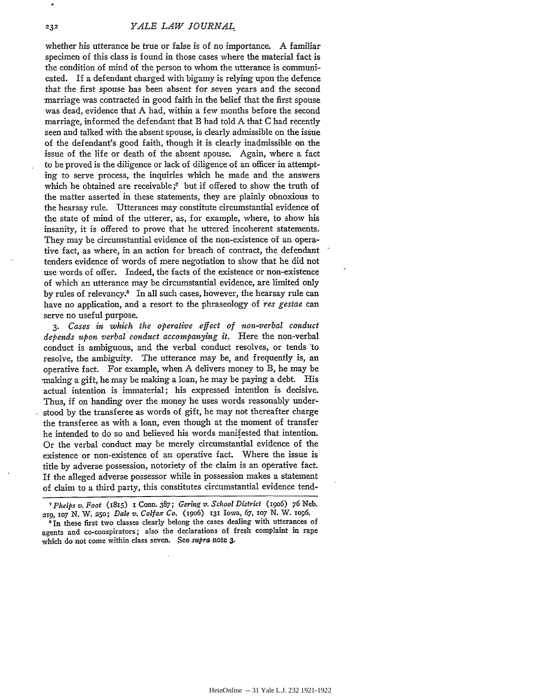whether his utterance be true or false is of no importance. A familiar specimen of this class is found in those cases where the material fact is the condition of mind of the person to whom the utterance is communicated. If a defendant charged with bigamy is relying upon the defence that the first spouse has been absent for seven years and the second marriage was contracted in good faith in the belief that the first spouse was dead, evidence that A had, within a few months before the second marriage, informed the defendant that B had told A that C had recently seen and talked with the absent spouse, is clearly admissible on the issue of the defendant's good faith, though it is clearly inadmissible on the issue of the life or death of the absent spouse. Again, where a fact to be proved is the diligence or lack of diligence of an officer in attempting to serve process, the inquiries which he made and the answers which he obtained are receivable **;7** but if offered to show the truth of the matter asserted in these statements, they are plainly obnoxious to the hearsay rule. Utterances may constitute circumstantial evidence of the state of mind of the utterer, as, for example, where, to show his insanity, it is offered to prove that he uttered incoherent statements. They may be circumstantial evidence of the non-existence of an operative fact, as where, in an action for breach of contract, the defendant tenders evidence of words of mere negotiation to show that he did not use words of offer. Indeed, the facts of the existence or non-existence of which an utterance may be circumstantial evidence, are limited only by rules of relevancy.<sup>8</sup> In all such cases, however, the hearsay rule can have no application, and a resort to the phraseology of *res* gestae can serve no useful purpose.

*3. Cases in which the operative effect of non-verbal conduct depends upon verbal conduct accompanying it.* Here the non-verbal conduct is ambiguous, and the verbal conduct resolves, or tends 'to resolve, the ambiguity. The utterance may be, and frequently is, an operative fact. For example, when A delivers money to B, he may be -making a gift, he may be making a loan, he may be paying a debt. His actual intention is immaterial; his expressed intention is decisive. Thus, if on handing over the money he uses words reasonably understood by the transferee as words of gift, he may not thereafter charge the transferee as with a loan, even though at the moment of transfer he intended to do so and believed his words manifested that intention. Or the verbal conduct may be merely circumstantial evidence of the existence or non-existence of an operative fact. Where the issue is title by adverse possession, notoriety of the claim is an operative fact. If the alleged adverse possessor while in possession makes a statement of claim to a third party, this constitutes circumstantial evidence tend-

232

*<sup>&</sup>quot;Phelps v. Foot* (1815) 1 Conn. *387; Gering v. School District* (i9o6) 76 Neb. *219, 107 N. W. 250; Dale v. Colfax Co.* (1906) 131 Iowa, 67, 107 N. W. 1096.<br><sup>8</sup> In these first two classes clearly belong the cases dealing with utterances of

agents and co-conspirators; also the declarations of fresh complaint in rape which do not come within class seven. See *supra* note **S.**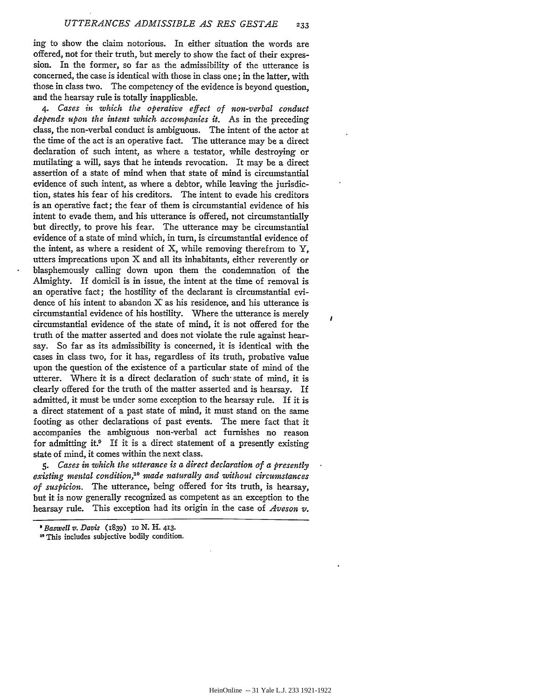ing to show the claim notorious. In either situation the words are offered, not for their truth, but merely to show the fact of their expression. In the former, so far as the admissibility of the utterance is concerned, the case is identical with those in class one; in the latter, with those in class two. The competency of the evidence is beyond question, and the hearsay rule is totally inapplicable.

*4. Cases in which the operative effect of non-verbal conduct depends upon the intent which accompanies it.* As in the preceding class, the non-verbal conduct is ambiguous. The intent of the actor at the time of the act is an operative fact. The utterance may be a direct declaration of such intent, as where a testator, while destroying or mutilating a will, says that he intends revocation. It may be a direct assertion of a state of mind when that state of mind is circumstantial evidence of such intent, as where a debtor, while leaving the jurisdiction, states his fear of his creditors. The intent to evade his creditors is an operative fact; the fear of them is circumstantial evidence of his intent to evade them, and his utterance is offered, not circumstantially but directly, to prove his fear. The utterance may be circumstantial evidence of a state of mind which, in turn, is circumstantial evidence of the intent, as where a resident of X, while removing therefrom to Y, utters imprecations upon X and all its inhabitants, either reverently or blasphemously calling down upon them the condemnation of the Almighty. If domicil is in issue, the intent at the time of removal is an operative fact; the hostility of the declarant is circumstantial evidence of his intent to abandon X as his residence, and his utterance is circumstantial evidence of his hostility. Where the utterance is merely circumstantial evidence of the state of mind, it is not offered for the truth of the matter asserted and does not violate the rule against hearsay. So far as its admissibility is concerned, it is identical with the cases in class two, for it has, regardless of its truth, probative value upon the question of the existence of a particular state of mind of the utterer. Where it is a direct declaration of such state of mind, it is clearly offered for the truth of the matter asserted and is hearsay. If admitted, it must be under some exception to the hearsay rule. If it is a direct statement of a past state of mind, it must stand on the same footing as other declarations of past events. The mere fact that it accompanies the ambiguous non-verbal act furnishes no reason for admitting it.9 If it is a direct statement of a presently existing state of mind, it comes within the next class.

*5. Cases in which the utterance is a direct declaration of a presently existing mental condition,0 made naturally and without circumstances of suspicion.* The utterance, being offered for 'its truth, is hearsay, but it is now generally recognized as competent as an exception to the hearsay rule. This exception had its origin in the case of *Aveson v.*

Ĭ

*P Baswell v. Davis* (1839) 10 N. H. 413.<br><sup>10</sup> This includes subjective bodily condition.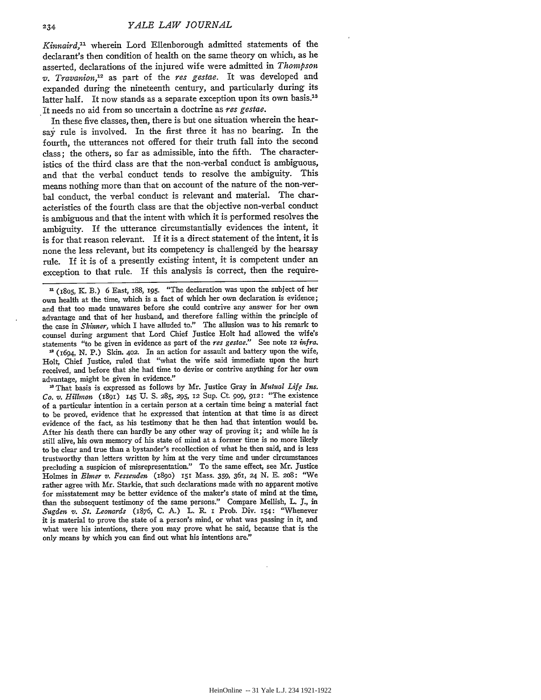*Kinnaird,"'* wherein Lord Ellenborough admitted statements of the declarant's then condition of health on the same theory on which, as he asserted, declarations of the injured wife were admitted in *Thompson v. Travanion,12* as part of the *res gestae.* It was developed and expanded during the nineteenth century, and particularly during its latter half. It now stands as a separate exception upon its own basis.<sup>13</sup> It needs no aid from so uncertain a doctrine as *res gestae.*

In these five classes, then, there is but one situation wherein the hearsay rule is involved. In the first three it has no bearing. In the fourth, the utterances not offered for their truth fall into the second class; the others, so far as admissible, into the fifth. The characteristics of the third class are that the non-verbal conduct is ambiguous, and that the verbal conduct tends to resolve the ambiguity. This means nothing more than that on account of the nature of the non-verbal conduct, the verbal conduct is relevant and material. The characteristics of the fourth class are that the objective non-verbal conduct is ambiguous and that the intent with which it is performed resolves the ambiguity. If the utterance circumstantially evidences the intent, it is for that reason relevant. If it is a direct statement of the intent, it is none the less relevant, but its competency is challenged by the hearsay rule. If it is of a presently existing intent, it is competent under an exception to that rule. If this analysis is correct, then the require-

"(1805, K. B.) 6 East, 188, **195.** "The declaration was upon the subject of her own health at the time, which is a fact of which her own declaration is evidence; and that too made unawares before she could contrive any answer for her own advantage and that of her husband, and therefore falling within the principle of the case in *Skinner,* which I have alluded to." The allusion was to his remark to counsel during argument that Lord Chief Justice Holt had allowed the wife's statements "to be given in evidence as part of the *res gestae."* See note **12** *infra.* <sup>12</sup> (1694, N. P.) Skin. 402. In an action for assault and battery upon the wife, Holt, Chief Justice, ruled that "what the wife said immediate upon the hurt received, and before that she had time to devise or contrive anything for her own advantage, might be given in evidence.'

<sup>13</sup> That basis is expressed as follows by Mr. Justice Gray in *Mutual Life Ins*. *Co. v. Hillinon* (1891) 145 U. **S.** 285, **295, 12** Sup. Ct **909, 912:** "The existence of a particular intention in a certain person at a certain time being a material fact to be proved, evidence that he expressed that intention at that time is as direct evidence of the fact, as his testimony that he then had that intention would be. After his death there can hardly be any other way of proving it; and while he is still alive, his own memory of his state of mind at a former time is no more likely to be clear and true than a bystander's recollection of what he then said, and is less trustworthy than letters written by him at the very time and under circumstances precluding a suspicion of misrepresentation." To the same effect, see Mr. Justice Holmes in *Elmer v. Fessenden* **(189o) 151** Mass. 359, 361, 24 N. E. 2o8: "We rather agree with Mr. Starkie, that such declarations made with no apparent motive **for** misstatement may be better evidence of the maker's state of mind at the time, than the subsequent testimony of the same persons." Compare Mellish, L. **J.,** in *Sugden* v. *St. Leonards* (1876, C. A.) L. **R** i Prob. Div. 154: "Whenever it is material to prove the state of a person's mind, or what was passing in it, and what were his intentions, there you may prove what he said, because that is the only means by which you can find out what his intentions are."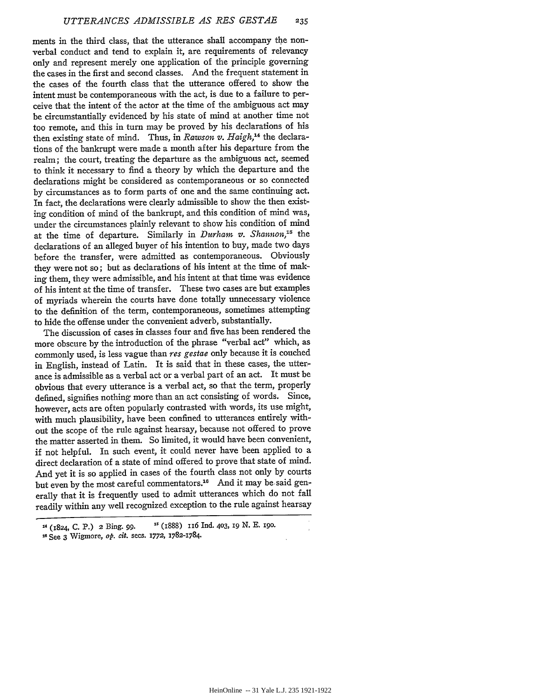ments in the third class, that the utterance shall accompany the nonverbal conduct and tend to explain it, are requirements of relevancy only and represent merely one application of the principle governing the cases in the first and second classes. And the frequent statement in the cases of the fourth class that the utterance offered to show the intent must be contemporaneous with the act, is due to a failure to perceive that the intent of the actor at the time of the ambiguous act may be circumstantially evidenced by his state of mind at another time not too remote, and this in turn may be proved by his declarations of his then existing state of mind. Thus, in *Rawson v. Haigh,14* the declarations of the bankrupt were made a month after his departure from the realm; the court, treating the departure as the ambiguous act, seemed to think it necessary to find a theory by which the departure and the declarations might be considered as contemporaneous or so connected by circumstances as to form parts of one and the same continuing act. In fact, the declarations were clearly admissible to show the then existing condition of mind of the bankrupt, and this condition of mind was, under the circumstances plainly relevant to show his condition of mind at the time of departure. Similarly in *Durham v. Shannon, <sup>5</sup>*the declarations of an alleged buyer of his intention to buy, made two days before the transfer, were admitted as contemporaneous. Obviously they were not so; but as declarations of his intent at the time of making them, they were admissible, and his intent at that time was evidence of his intent at the time of transfer. These two cases are but examples of myriads wherein the courts have done totally unnecessary violence to the definition of the term, contemporaneous, sometimes attempting to hide the offense under the convenient adverb, substantially.

The discussion of cases in classes four and five has been rendered the more obscure by the introduction of the phrase "verbal act" which, as commonly used, is less vague than *res gestae* only because it is couched in English, instead of Latin. It is said that in these cases, the utterance is admissible as a verbal act or a verbal part of an act. It must be obvious that every utterance is a verbal act, so that the term, properly defined, signifies nothing more than an act consisting of words. Since, however, acts are often popularly contrasted with words, its use might, with much plausibility, have been confined to utterances entirely without the scope of the rule against hearsay, because not offered to prove the matter asserted in them. So limited, it would have been convenient, if not helpful. In such event, it could never have been applied to a direct declaration of a state of mind offered to prove that state of mind. And yet it is so applied in cases of the fourth class not only by courts but even by the most careful commentators.<sup>16</sup> And it may be said generally that it is frequently used to admit utterances which do not fall readily within any well recognized exception to the rule against hearsay

<sup>16</sup> See 3 Wigmore, *op. cit.* secs. **1772**, **1782-1784**.

**<sup>(1824,</sup>** C. P.) 2 Bing. *99.* **15** (i888) ii6 Ind. 403, *19* N. E. igo.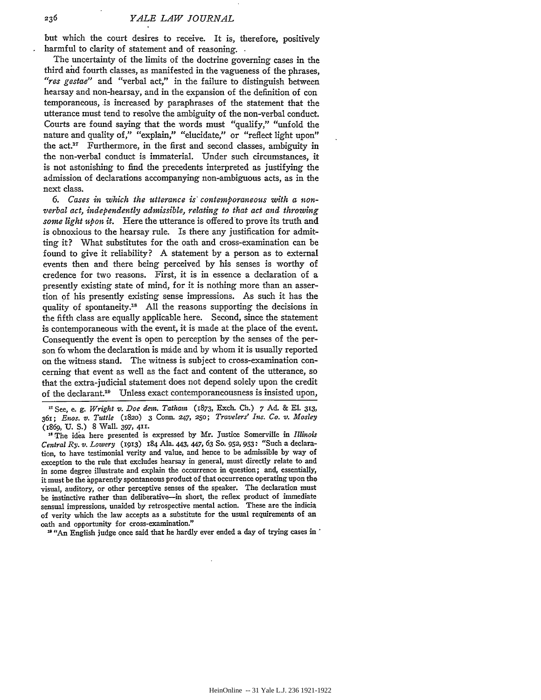but which the court desires to receive. It is, therefore, positively harmful to clarity of statement and of reasoning.

The uncertainty of the limits of the doctrine governing cases in the third and fourth classes, as manifested in the vagueness of the phrases, *"res gestae"* and "verbal act," in the failure to distinguish between hearsay and non-hearsay, and in the expansion of the definition of con temporaneous, is increased by paraphrases of the statement that the utterance must tend to resolve the ambiguity of the non-verbal conduct. Courts are found saying that the words must "qualify," "unfold the nature and quality of," "explain," "elucidate," or "reflect light upon" the act.17 Furthermore, in the first and second classes, ambiguity in the non-verbal conduct is immaterial, Under such circumstances, it is not astonishing to find the precedents interpreted as justifying the admission of declarations accompanying non-ambiguous acts, as in the next class.

*6. Cases in which the utterance is' contemporaneous with a nonverbal act, independently admissible, relating to that act and throwing some light upon it.* Here the utterance is offered to prove its truth and is obnoxious to the hearsay rule. Is there any justification for admitting it? What substitutes for the oath and cross-examination can be found to give it reliability? A statement by a person as to external events then and there being perceived by his senses is worthy of credence for two reasons. First, it is in essence a declaration of a presently existing state of mind, for it is nothing more than an assertion of his presently existing sense impressions. As such it has the quality of spontaneity.<sup>18</sup> All the reasons supporting the decisions in the fifth class are equally applicable here. Second, since the statement is contemporaneous with the event, it is made at the place of the event. Consequently the event is open to perception by the senses of the person fo whom the declaration is made and by whom it is usually reported on the witness stand. The witness is subject to cross-examination concerning that event as well as the fact and content of the utterance, so that the extra-judicial statement does not depend solely upon the credit of the declarant.<sup>19</sup> Unless exact contemporaneousness is insisted upon,

**"** See, e. **g.** *Wright v. Doe dew. Tatharn* **(1873,** Exch. Ch.) 7 Ad. & **El. 313,** 361; *Enos. v. Tuttle* (1820) 3 Conn. 247, 25o; *Travelers' Ins. Co. v. Mosley* (1869, **U. S.)** 8 Wall. *397,* **411.**

<sup>18</sup> The idea here presented is expressed by Mr. Justice Somerville in *Illinois Central Ry. v. Lowery* **(1913) 184** Ala. 443, 447, 63 So. **952,** 953 *:* "Such a declaration, to have testimonial verity and value, and hence to be admissible by way of exception to the rule that excludes hearsay in general, must directly relate to and in some degree illustrate and explain the occurrence in question; and, essentially, it must be the apparently spontaneous product of that occurrence operating upon the visual, auditory, or other perceptive senses of the speaker. The declaration must be instinctive rather than deliberative-in short, the reflex product of immediate sensual impressions, unaided by retrospective mental action. These are the indicia of verity which the law accepts as a substitute for the usual requirements of an oath and opportunity for cross-examination."

<sup>19</sup> "An English judge once said that he hardly ever ended a day of trying cases in

236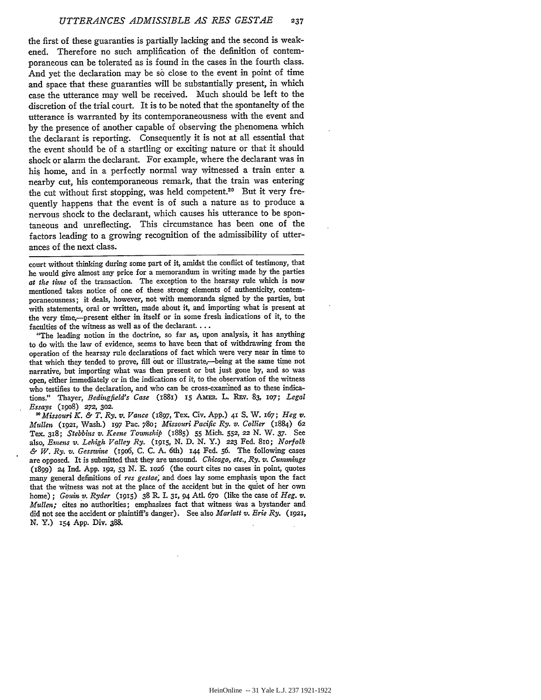the first of these guaranties is partially lacking and the second is weakened. Therefore no such amplification of the definition of contemporaneous can be tolerated as is found in the cases in the fourth class. And yet the declaration may be so close to the event in point of time and space that these guaranties will be substantially present, in which case the utterance may well be received. Much should be left to the discretion of the trial court. It is to be noted that the spontaneity of the utterance is warranted by its contemporaneousness with the event and by the presence of another capable of observing the phenomena which the declarant is reporting. Consequently it is not at all essential that the event should be of a startling or exciting nature or that it should shock or alarm the declarant. For example, where the declarant was in his home, and in a perfectly normal way witnessed a train enter a nearby cut, his contemporaneous remark, that the train was entering the cut without first stopping, was held competent.<sup>20</sup> But it very frequently happens that the event is of such a nature as to produce a nervous shock to the declarant, which causes his utterance to be spontaneous and unreflecting. This circumstance has been one of the factors leading to a growing recognition of the admissibility of utterances of the next class.

court without thinking during some part of it, amidst the conflict of testimony, that he would give almost any price for a memorandum in writing made by the parties at the *time* of the transaction. The exception to the hearsay rule which is now mentioned takes notice of one of these strong elements of authenticity, contemporaneousness; it deals, however, not with memoranda signed by the parties, but with statements, oral or written, made about it, and importing what is present at the very time,--present either in itself or in some fresh indications of it, to the faculties of the witness as well as of the declarant....

"The leading notion in the doctrine, so far as, upon analysis, it has anything to do with the law of evidence, seems to have been that of withdrawing from the operation of the hearsay rule declarations of fact which were very near in time to that which they tended to prove, fill out or illustrate,--being at the same time not narrative, but importing what was then present or but just gone by, and so was open, either immediately or in the indications of it, to the observation of the witness who testifies to the declaration, and who can be cross-examined as to these indications." Thayer, *Bedingfield's Case* (1881) **15** AmER. L. REv. 83, io7; *Legal Essays* (19o8) **272, 302.**

*"Missouri K. & T. Ry. v. Vance* (i897, Tex. Civ. App.) 41 S. W. 167; *Heg v. Mullen* (I92I, Wash.) 197 Pac. 78o; *Missouri Pacific Ry. v. Collier* (1884) **<sup>62</sup>** Tex. 318; *Stebbins v. Keene Towznship* (1885) 55 Mich. **552,** 22 N. W. 37. See also, *Emens v. Lehigh Valley Ry. (915,* N. D. N. Y.) **223** Fed. 8Io; *Norfolk & W. Ry. v. Gesswine (9o6,* C. C. A. 6th) 144 Fed. **56.** The following cases are opposed. It is submitted that they are unsound. *Chicago, etc., Ry. v. Cummings* (1899) 24 Ind. App. **192,** 53 N. E. **1026** (the court cites no cases in point, quotes many general definitions of *res gestae;* and does lay some emphasis upon the fact that the witness was not at the place of the accident but in the quiet of her own home) ; *Gouin v. Ryder* **(1915) 38** R. I. **31,** 94 Atl. 67o (like the case of *Heg. v. Mullen;* cites no authorities; emphasizes fact that witness was a bystander and did not see the accident or plaintiff's danger). See also *Marlatt v. Erie Ry.* **(1921,** N. Y.) 154 App. Div. 388.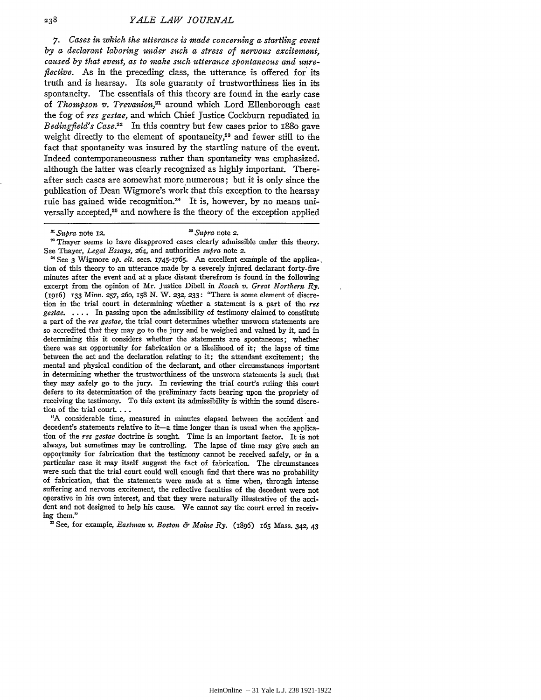*7. Cases in which the utterance is made concerning a startling event by a declarant laboring under such a stress of nervous excitement, caused by that event, as to make such utterance spontaneous and unreflective.* As in the preceding class, the utterance is offered for its truth and is hearsay. Its sole guaranty of trustworthiness lies in its spontaneity. The essentials of this theory are found in the early case of *Thompson v. Trevanion,21* around which Lord Ellenborough cast the fog of *res gestae,* and which Chief justice Cockburn repudiated in *Bedingfield's Case.22* In this country but few cases prior to i88o gave weight directly to the element of spontaneity,<sup>23</sup> and fewer still to the fact that spontaneity was insured **by** the startling nature of the event. Indeed contemporaneousness rather than spontaneity was emphasized. although the latter was clearly recognized as highly important. Thereafter such cases are somewhat more numerous; but it is only since the publication of Dean Wigmore's work that this exception to the hearsay rule has gained wide recognition. 24 It is, however, **by** no means universally accepted.<sup>25</sup> and nowhere is the theory of the exception applied

<sup>21</sup> *Supra* note 12.

<sup>23</sup> Thayer seems to have disapproved cases clearly admissible under this theory. See Thayer, *Legal Essays,* 264, and authorities *supra* note 2.

**2** See 3 Wigmore *op. cit.* secs. **1745-1765.** An excellent example of the applica-. tion of this theory to an utterance made by a severely injured declarant forty-five minutes after the event and at a place distant therefrom is found in the following excerpt from the opinion of Mr. Justice Dibell in *Roach v. Great Northern Ry.* **(1916)** 133 Minn. **257,** 26o, 158 N. W. **232, 233:** "There is some element of discretion in the trial court in determining whether a statement is a part of the *res gestae..... .In* passing upon the admissibility of testimony claimed to constitute a part of the *res gestae,* the trial court determines whether unsworn statements are so accredited that they may go to the jury and be weighed and valued by it, and in determining this it considers whether the statements are spontaneous; whether there was an opportunity for fabrication or a likelihood of it; the lapse of time between the act and the declaration relating to it; the attendant excitement; the mental and physical condition of the declarant, and other circumstances important in determining whether the trustworthiness of the unsworn statements is such that they may safely go to the jury. In reviewing the trial court's ruling this court defers to its determination of the preliminary facts bearing upon the propriety of receiving the testimony. To this extent its admissibility is within the sound discretion of the trial court. ...

"A considerable time, measured in minutes elapsed between the accident and decedent's statements relative to it-a time longer than is usual when the application of the *res gestae* doctrine is sought Time is an important factor. It is not always, but sometimes may be controlling. The lapse of time may give such an opportunity for fabrication that the testimony cannot be received safely, or in a particular case it may itself suggest the fact of fabrication. The circumstances were such that the trial court could well enough find that there was no probability of fabrication, that the statements were made at a time when, through intense suffering and nervous excitement, the reflective faculties of the decedent were not operative in his own interest, and that they were naturally illustrative of the accident and not designed to help his cause. We cannot say the court erred in receiving them." 25 See, for example, *Eastman v. Boston & Mahne Ry.* (1896) 165 Mass. 342, 43

238

*Supra* note *12. "Supra* note *2.*